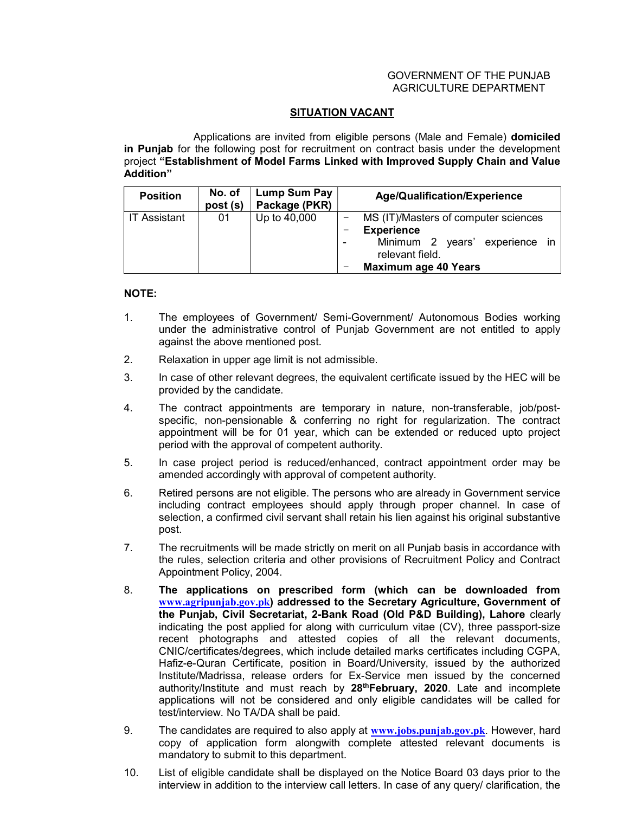## GOVERNMENT OF THE PUNJAB AGRICULTURE DEPARTMENT

## **SITUATION VACANT**

 Applications are invited from eligible persons (Male and Female) domiciled in Punjab for the following post for recruitment on contract basis under the development project "Establishment of Model Farms Linked with Improved Supply Chain and Value Addition"

| <b>Position</b>     | No. of<br>post (s) | Lump Sum Pay<br>Package (PKR) | Age/Qualification/Experience                                                                                                                  |
|---------------------|--------------------|-------------------------------|-----------------------------------------------------------------------------------------------------------------------------------------------|
| <b>IT Assistant</b> | 01                 | Up to 40,000                  | MS (IT)/Masters of computer sciences<br><b>Experience</b><br>Minimum 2 years' experience in<br>relevant field.<br><b>Maximum age 40 Years</b> |

## NOTE:

- 1. The employees of Government/ Semi-Government/ Autonomous Bodies working under the administrative control of Punjab Government are not entitled to apply against the above mentioned post.
- 2. Relaxation in upper age limit is not admissible.
- 3. In case of other relevant degrees, the equivalent certificate issued by the HEC will be provided by the candidate.
- 4. The contract appointments are temporary in nature, non-transferable, job/postspecific, non-pensionable & conferring no right for regularization. The contract appointment will be for 01 year, which can be extended or reduced upto project period with the approval of competent authority.
- 5. In case project period is reduced/enhanced, contract appointment order may be amended accordingly with approval of competent authority.
- 6. Retired persons are not eligible. The persons who are already in Government service including contract employees should apply through proper channel. In case of selection, a confirmed civil servant shall retain his lien against his original substantive post.
- 7. The recruitments will be made strictly on merit on all Punjab basis in accordance with the rules, selection criteria and other provisions of Recruitment Policy and Contract Appointment Policy, 2004.
- 8. The applications on prescribed form (which can be downloaded from www.agripunjab.gov.pk) addressed to the Secretary Agriculture, Government of the Punjab, Civil Secretariat, 2-Bank Road (Old P&D Building), Lahore clearly indicating the post applied for along with curriculum vitae (CV), three passport-size recent photographs and attested copies of all the relevant documents, CNIC/certificates/degrees, which include detailed marks certificates including CGPA, Hafiz-e-Quran Certificate, position in Board/University, issued by the authorized Institute/Madrissa, release orders for Ex-Service men issued by the concerned authority/Institute and must reach by 28<sup>th</sup>February, 2020. Late and incomplete applications will not be considered and only eligible candidates will be called for test/interview. No TA/DA shall be paid.
- 9. The candidates are required to also apply at www.jobs.punjab.gov.pk. However, hard copy of application form alongwith complete attested relevant documents is mandatory to submit to this department.
- 10. List of eligible candidate shall be displayed on the Notice Board 03 days prior to the interview in addition to the interview call letters. In case of any query/ clarification, the